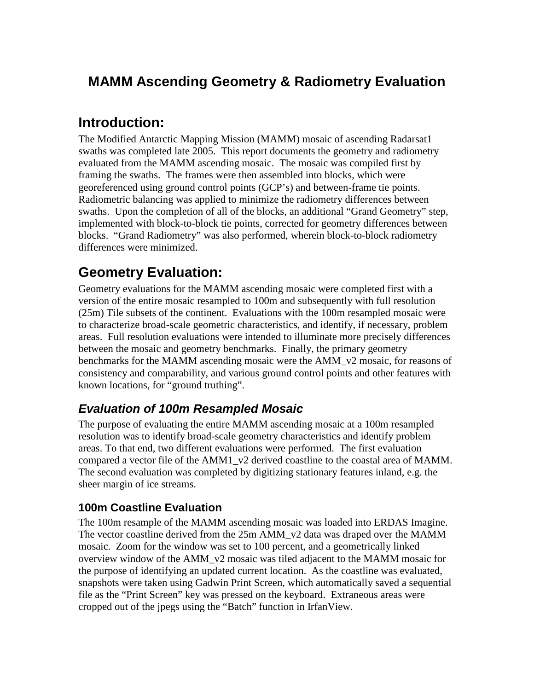# **MAMM Ascending Geometry & Radiometry Evaluation**

## **Introduction:**

The Modified Antarctic Mapping Mission (MAMM) mosaic of ascending Radarsat1 swaths was completed late 2005. This report documents the geometry and radiometry evaluated from the MAMM ascending mosaic. The mosaic was compiled first by framing the swaths. The frames were then assembled into blocks, which were georeferenced using ground control points (GCP's) and between-frame tie points. Radiometric balancing was applied to minimize the radiometry differences between swaths. Upon the completion of all of the blocks, an additional "Grand Geometry" step, implemented with block-to-block tie points, corrected for geometry differences between blocks. "Grand Radiometry" was also performed, wherein block-to-block radiometry differences were minimized.

# **Geometry Evaluation:**

Geometry evaluations for the MAMM ascending mosaic were completed first with a version of the entire mosaic resampled to 100m and subsequently with full resolution (25m) Tile subsets of the continent. Evaluations with the 100m resampled mosaic were to characterize broad-scale geometric characteristics, and identify, if necessary, problem areas. Full resolution evaluations were intended to illuminate more precisely differences between the mosaic and geometry benchmarks. Finally, the primary geometry benchmarks for the MAMM ascending mosaic were the AMM\_v2 mosaic, for reasons of consistency and comparability, and various ground control points and other features with known locations, for "ground truthing".

## **Evaluation of 100m Resampled Mosaic**

The purpose of evaluating the entire MAMM ascending mosaic at a 100m resampled resolution was to identify broad-scale geometry characteristics and identify problem areas. To that end, two different evaluations were performed. The first evaluation compared a vector file of the AMM1\_v2 derived coastline to the coastal area of MAMM. The second evaluation was completed by digitizing stationary features inland, e.g. the sheer margin of ice streams.

### **100m Coastline Evaluation**

The 100m resample of the MAMM ascending mosaic was loaded into ERDAS Imagine. The vector coastline derived from the  $25m$  AMM  $v2$  data was draped over the MAMM mosaic. Zoom for the window was set to 100 percent, and a geometrically linked overview window of the AMM\_v2 mosaic was tiled adjacent to the MAMM mosaic for the purpose of identifying an updated current location. As the coastline was evaluated, snapshots were taken using Gadwin Print Screen, which automatically saved a sequential file as the "Print Screen" key was pressed on the keyboard. Extraneous areas were cropped out of the jpegs using the "Batch" function in IrfanView.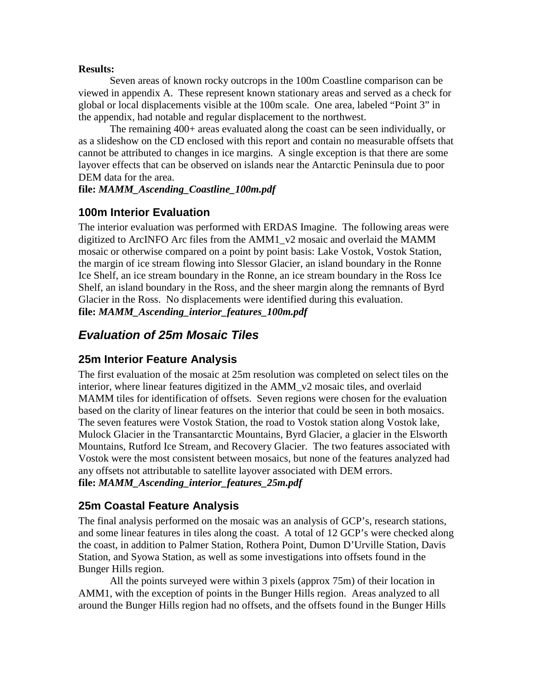#### **Results:**

 Seven areas of known rocky outcrops in the 100m Coastline comparison can be viewed in appendix A. These represent known stationary areas and served as a check for global or local displacements visible at the 100m scale. One area, labeled "Point 3" in the appendix, had notable and regular displacement to the northwest.

 The remaining 400+ areas evaluated along the coast can be seen individually, or as a slideshow on the CD enclosed with this report and contain no measurable offsets that cannot be attributed to changes in ice margins. A single exception is that there are some layover effects that can be observed on islands near the Antarctic Peninsula due to poor DEM data for the area.

#### **file:** *MAMM\_Ascending\_Coastline\_100m.pdf*

### **100m Interior Evaluation**

The interior evaluation was performed with ERDAS Imagine. The following areas were digitized to ArcINFO Arc files from the AMM1\_v2 mosaic and overlaid the MAMM mosaic or otherwise compared on a point by point basis: Lake Vostok, Vostok Station, the margin of ice stream flowing into Slessor Glacier, an island boundary in the Ronne Ice Shelf, an ice stream boundary in the Ronne, an ice stream boundary in the Ross Ice Shelf, an island boundary in the Ross, and the sheer margin along the remnants of Byrd Glacier in the Ross. No displacements were identified during this evaluation. **file:** *MAMM\_Ascending\_interior\_features\_100m.pdf*

## **Evaluation of 25m Mosaic Tiles**

### **25m Interior Feature Analysis**

The first evaluation of the mosaic at 25m resolution was completed on select tiles on the interior, where linear features digitized in the AMM\_v2 mosaic tiles, and overlaid MAMM tiles for identification of offsets. Seven regions were chosen for the evaluation based on the clarity of linear features on the interior that could be seen in both mosaics. The seven features were Vostok Station, the road to Vostok station along Vostok lake, Mulock Glacier in the Transantarctic Mountains, Byrd Glacier, a glacier in the Elsworth Mountains, Rutford Ice Stream, and Recovery Glacier. The two features associated with Vostok were the most consistent between mosaics, but none of the features analyzed had any offsets not attributable to satellite layover associated with DEM errors. **file:** *MAMM\_Ascending\_interior\_features\_25m.pdf*

## **25m Coastal Feature Analysis**

The final analysis performed on the mosaic was an analysis of GCP's, research stations, and some linear features in tiles along the coast. A total of 12 GCP's were checked along the coast, in addition to Palmer Station, Rothera Point, Dumon D'Urville Station, Davis Station, and Syowa Station, as well as some investigations into offsets found in the Bunger Hills region.

 All the points surveyed were within 3 pixels (approx 75m) of their location in AMM1, with the exception of points in the Bunger Hills region. Areas analyzed to all around the Bunger Hills region had no offsets, and the offsets found in the Bunger Hills